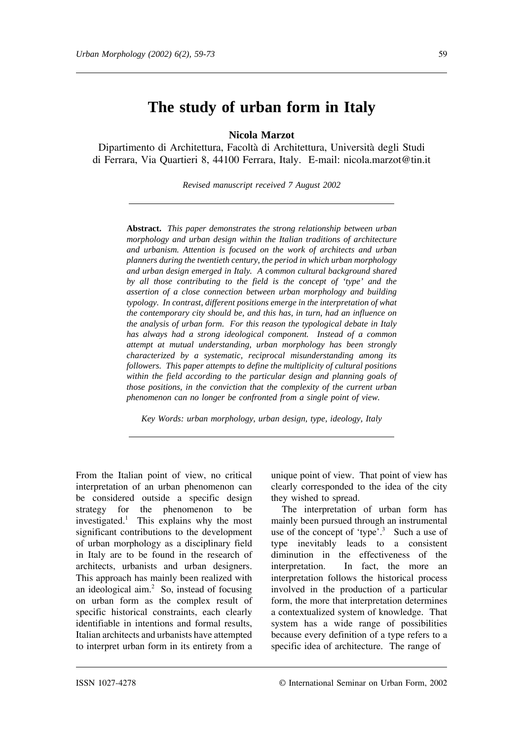# **The study of urban form in Italy**

**Nicola Marzot**

Dipartimento di Architettura, Facoltà di Architettura, Università degli Studi di Ferrara, Via Quartieri 8, 44100 Ferrara, Italy. E-mail: nicola.marzot@tin.it

*Revised manuscript received 7 August 2002*

**Abstract.** *This paper demonstrates the strong relationship between urban morphology and urban design within the Italian traditions of architecture and urbanism. Attention is focused on the work of architects and urban planners during the twentieth century, the period in which urban morphology and urban design emerged in Italy. A common cultural background shared by all those contributing to the field is the concept of 'type' and the assertion of a close connection between urban morphology and building typology. In contrast, different positions emerge in the interpretation of what the contemporary city should be, and this has, in turn, had an influence on the analysis of urban form. For this reason the typological debate in Italy has always had a strong ideological component. Instead of a common attempt at mutual understanding, urban morphology has been strongly characterized by a systematic, reciprocal misunderstanding among its followers. This paper attempts to define the multiplicity of cultural positions within the field according to the particular design and planning goals of those positions, in the conviction that the complexity of the current urban phenomenon can no longer be confronted from a single point of view.*

*Key Words: urban morphology, urban design, type, ideology, Italy*

From the Italian point of view, no critical interpretation of an urban phenomenon can be considered outside a specific design strategy for the phenomenon to be investigated.1 This explains why the most significant contributions to the development of urban morphology as a disciplinary field in Italy are to be found in the research of architects, urbanists and urban designers. This approach has mainly been realized with an ideological aim.<sup>2</sup> So, instead of focusing on urban form as the complex result of specific historical constraints, each clearly identifiable in intentions and formal results, Italian architects and urbanists have attempted to interpret urban form in its entirety from a unique point of view. That point of view has clearly corresponded to the idea of the city they wished to spread.

The interpretation of urban form has mainly been pursued through an instrumental use of the concept of 'type'.<sup>3</sup> Such a use of type inevitably leads to a consistent diminution in the effectiveness of the interpretation. In fact, the more an interpretation follows the historical process involved in the production of a particular form, the more that interpretation determines a contextualized system of knowledge. That system has a wide range of possibilities because every definition of a type refers to a specific idea of architecture. The range of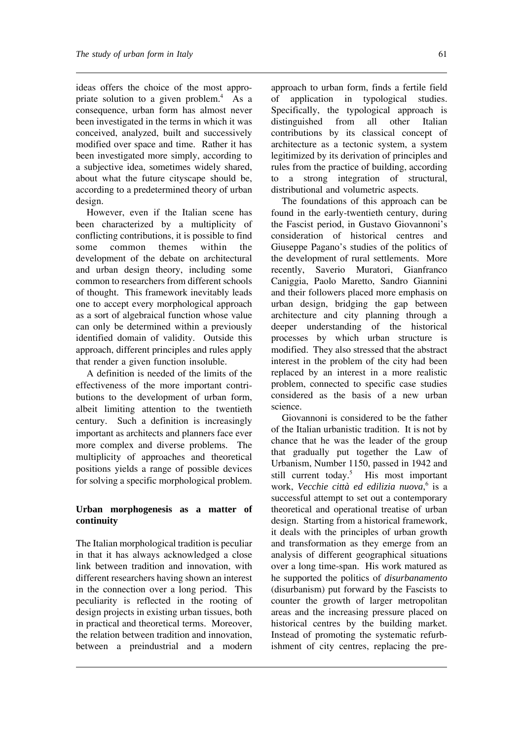ideas offers the choice of the most appropriate solution to a given problem.<sup>4</sup> As a consequence, urban form has almost never been investigated in the terms in which it was conceived, analyzed, built and successively modified over space and time. Rather it has been investigated more simply, according to a subjective idea, sometimes widely shared, about what the future cityscape should be, according to a predetermined theory of urban design.

However, even if the Italian scene has been characterized by a multiplicity of conflicting contributions, it is possible to find some common themes within the development of the debate on architectural and urban design theory, including some common to researchers from different schools of thought. This framework inevitably leads one to accept every morphological approach as a sort of algebraical function whose value can only be determined within a previously identified domain of validity. Outside this approach, different principles and rules apply that render a given function insoluble.

A definition is needed of the limits of the effectiveness of the more important contributions to the development of urban form, albeit limiting attention to the twentieth century. Such a definition is increasingly important as architects and planners face ever more complex and diverse problems. The multiplicity of approaches and theoretical positions yields a range of possible devices for solving a specific morphological problem.

## **Urban morphogenesis as a matter of continuity**

The Italian morphological tradition is peculiar in that it has always acknowledged a close link between tradition and innovation, with different researchers having shown an interest in the connection over a long period. This peculiarity is reflected in the rooting of design projects in existing urban tissues, both in practical and theoretical terms. Moreover, the relation between tradition and innovation, between a preindustrial and a modern

approach to urban form, finds a fertile field of application in typological studies. Specifically, the typological approach is distinguished from all other Italian contributions by its classical concept of architecture as a tectonic system, a system legitimized by its derivation of principles and rules from the practice of building, according to a strong integration of structural, distributional and volumetric aspects.

The foundations of this approach can be found in the early-twentieth century, during the Fascist period, in Gustavo Giovannoni's consideration of historical centres and Giuseppe Pagano's studies of the politics of the development of rural settlements. More recently, Saverio Muratori, Gianfranco Caniggia, Paolo Maretto, Sandro Giannini and their followers placed more emphasis on urban design, bridging the gap between architecture and city planning through a deeper understanding of the historical processes by which urban structure is modified. They also stressed that the abstract interest in the problem of the city had been replaced by an interest in a more realistic problem, connected to specific case studies considered as the basis of a new urban science.

Giovannoni is considered to be the father of the Italian urbanistic tradition. It is not by chance that he was the leader of the group that gradually put together the Law of Urbanism, Number 1150, passed in 1942 and still current today.<sup>5</sup> His most important work, *Vecchie città ed edilizia nuova*, <sup>6</sup> is a successful attempt to set out a contemporary theoretical and operational treatise of urban design. Starting from a historical framework, it deals with the principles of urban growth and transformation as they emerge from an analysis of different geographical situations over a long time-span. His work matured as he supported the politics of *disurbanamento* (disurbanism) put forward by the Fascists to counter the growth of larger metropolitan areas and the increasing pressure placed on historical centres by the building market. Instead of promoting the systematic refurbishment of city centres, replacing the pre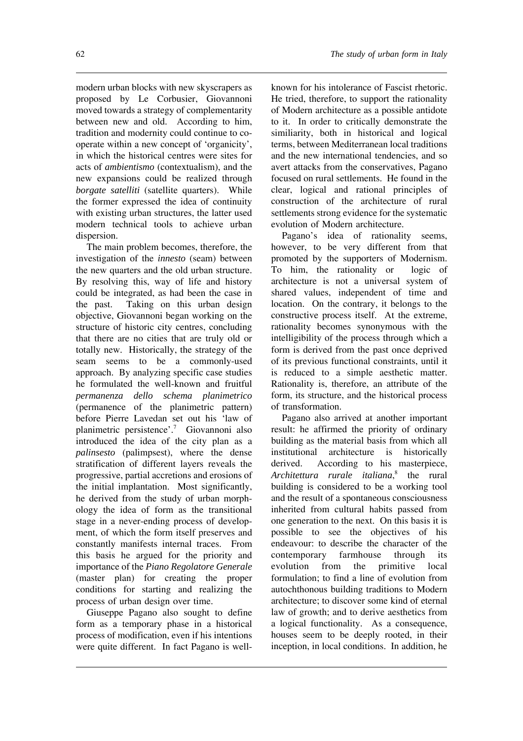modern urban blocks with new skyscrapers as proposed by Le Corbusier, Giovannoni moved towards a strategy of complementarity between new and old. According to him, tradition and modernity could continue to cooperate within a new concept of 'organicity', in which the historical centres were sites for acts of *ambientismo* (contextualism), and the new expansions could be realized through *borgate satelliti* (satellite quarters). While the former expressed the idea of continuity with existing urban structures, the latter used modern technical tools to achieve urban dispersion.

The main problem becomes, therefore, the investigation of the *innesto* (seam) between the new quarters and the old urban structure. By resolving this, way of life and history could be integrated, as had been the case in the past. Taking on this urban design objective, Giovannoni began working on the structure of historic city centres, concluding that there are no cities that are truly old or totally new. Historically, the strategy of the seam seems to be a commonly-used approach. By analyzing specific case studies he formulated the well-known and fruitful *permanenza dello schema planimetrico* (permanence of the planimetric pattern) before Pierre Lavedan set out his 'law of planimetric persistence'.7 Giovannoni also introduced the idea of the city plan as a *palinsesto* (palimpsest), where the dense stratification of different layers reveals the progressive, partial accretions and erosions of the initial implantation. Most significantly, he derived from the study of urban morphology the idea of form as the transitional stage in a never-ending process of development, of which the form itself preserves and constantly manifests internal traces. From this basis he argued for the priority and importance of the *Piano Regolatore Generale* (master plan) for creating the proper conditions for starting and realizing the process of urban design over time.

Giuseppe Pagano also sought to define form as a temporary phase in a historical process of modification, even if his intentions were quite different. In fact Pagano is well-

known for his intolerance of Fascist rhetoric. He tried, therefore, to support the rationality of Modern architecture as a possible antidote to it. In order to critically demonstrate the similiarity, both in historical and logical terms, between Mediterranean local traditions and the new international tendencies, and so avert attacks from the conservatives, Pagano focused on rural settlements. He found in the clear, logical and rational principles of construction of the architecture of rural settlements strong evidence for the systematic evolution of Modern architecture.

Pagano's idea of rationality seems, however, to be very different from that promoted by the supporters of Modernism. To him, the rationality or logic of architecture is not a universal system of shared values, independent of time and location. On the contrary, it belongs to the constructive process itself. At the extreme, rationality becomes synonymous with the intelligibility of the process through which a form is derived from the past once deprived of its previous functional constraints, until it is reduced to a simple aesthetic matter. Rationality is, therefore, an attribute of the form, its structure, and the historical process of transformation.

Pagano also arrived at another important result: he affirmed the priority of ordinary building as the material basis from which all institutional architecture is historically derived. According to his masterpiece, *Architettura rurale italiana*, <sup>8</sup> the rural building is considered to be a working tool and the result of a spontaneous consciousness inherited from cultural habits passed from one generation to the next. On this basis it is possible to see the objectives of his endeavour: to describe the character of the contemporary farmhouse through its evolution from the primitive local formulation; to find a line of evolution from autochthonous building traditions to Modern architecture; to discover some kind of eternal law of growth; and to derive aesthetics from a logical functionality. As a consequence, houses seem to be deeply rooted, in their inception, in local conditions. In addition, he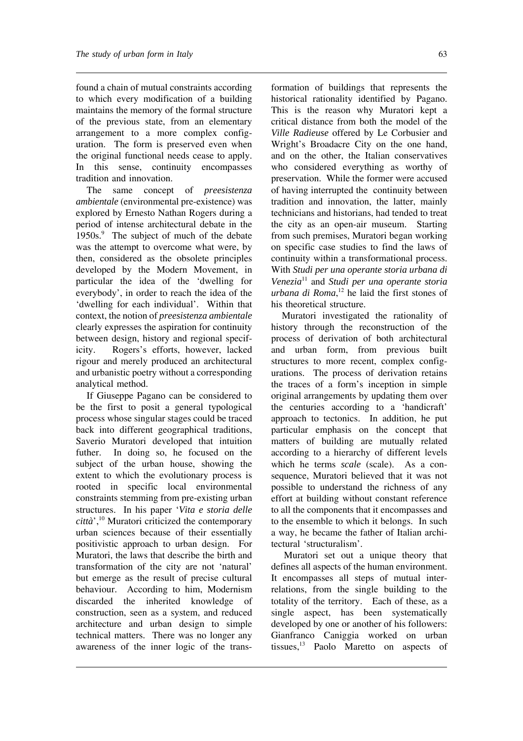found a chain of mutual constraints according to which every modification of a building maintains the memory of the formal structure of the previous state, from an elementary arrangement to a more complex configuration. The form is preserved even when the original functional needs cease to apply. In this sense, continuity encompasses tradition and innovation.

The same concept of *preesistenza ambientale* (environmental pre-existence) was explored by Ernesto Nathan Rogers during a period of intense architectural debate in the 1950s.<sup>9</sup> The subject of much of the debate was the attempt to overcome what were, by then, considered as the obsolete principles developed by the Modern Movement, in particular the idea of the 'dwelling for everybody', in order to reach the idea of the 'dwelling for each individual'. Within that context, the notion of *preesistenza ambientale* clearly expresses the aspiration for continuity between design, history and regional specificity. Rogers's efforts, however, lacked rigour and merely produced an architectural and urbanistic poetry without a corresponding analytical method.

If Giuseppe Pagano can be considered to be the first to posit a general typological process whose singular stages could be traced back into different geographical traditions, Saverio Muratori developed that intuition futher. In doing so, he focused on the subject of the urban house, showing the extent to which the evolutionary process is rooted in specific local environmental constraints stemming from pre-existing urban structures. In his paper '*Vita e storia delle città*',10 Muratori criticized the contemporary urban sciences because of their essentially positivistic approach to urban design. For Muratori, the laws that describe the birth and transformation of the city are not 'natural' but emerge as the result of precise cultural behaviour. According to him, Modernism discarded the inherited knowledge of construction, seen as a system, and reduced architecture and urban design to simple technical matters. There was no longer any awareness of the inner logic of the trans-

formation of buildings that represents the historical rationality identified by Pagano. This is the reason why Muratori kept a critical distance from both the model of the *Ville Radieuse* offered by Le Corbusier and Wright's Broadacre City on the one hand, and on the other, the Italian conservatives who considered everything as worthy of preservation. While the former were accused of having interrupted the continuity between tradition and innovation, the latter, mainly technicians and historians, had tended to treat the city as an open-air museum. Starting from such premises, Muratori began working on specific case studies to find the laws of continuity within a transformational process. With *Studi per una operante storia urbana di Venezia*<sup>11</sup> and *Studi per una operante storia urbana di Roma*, <sup>12</sup> he laid the first stones of his theoretical structure.

Muratori investigated the rationality of history through the reconstruction of the process of derivation of both architectural and urban form, from previous built structures to more recent, complex configurations. The process of derivation retains the traces of a form's inception in simple original arrangements by updating them over the centuries according to a 'handicraft' approach to tectonics. In addition, he put particular emphasis on the concept that matters of building are mutually related according to a hierarchy of different levels which he terms *scale* (scale). As a consequence, Muratori believed that it was not possible to understand the richness of any effort at building without constant reference to all the components that it encompasses and to the ensemble to which it belongs. In such a way, he became the father of Italian architectural 'structuralism'.

Muratori set out a unique theory that defines all aspects of the human environment. It encompasses all steps of mutual interrelations, from the single building to the totality of the territory. Each of these, as a single aspect, has been systematically developed by one or another of his followers: Gianfranco Caniggia worked on urban tissues,<sup>13</sup> Paolo Maretto on aspects of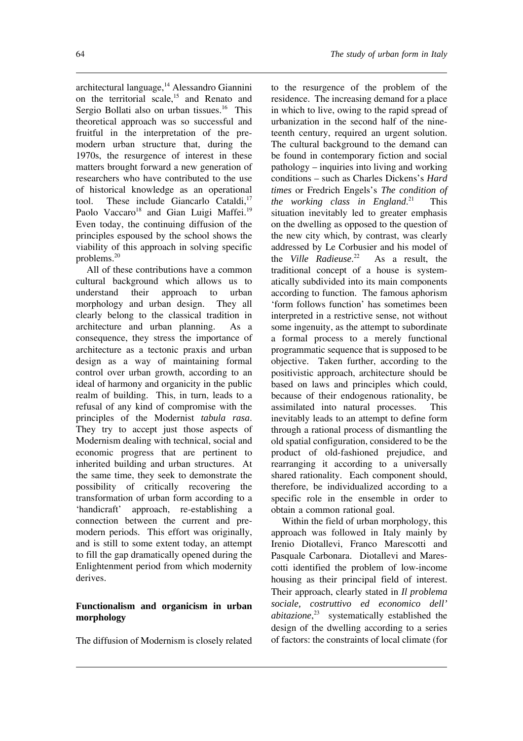architectural language,<sup>14</sup> Alessandro Giannini on the territorial scale, $15$  and Renato and Sergio Bollati also on urban tissues.<sup>16</sup> This theoretical approach was so successful and fruitful in the interpretation of the premodern urban structure that, during the 1970s, the resurgence of interest in these matters brought forward a new generation of researchers who have contributed to the use of historical knowledge as an operational tool. These include Giancarlo Cataldi,<sup>17</sup> Paolo Vaccaro<sup>18</sup> and Gian Luigi Maffei.<sup>19</sup> Even today, the continuing diffusion of the principles espoused by the school shows the viability of this approach in solving specific problems.20

All of these contributions have a common cultural background which allows us to understand their approach to urban morphology and urban design. They all clearly belong to the classical tradition in architecture and urban planning. As a consequence, they stress the importance of architecture as a tectonic praxis and urban design as a way of maintaining formal control over urban growth, according to an ideal of harmony and organicity in the public realm of building. This, in turn, leads to a refusal of any kind of compromise with the principles of the Modernist *tabula rasa*. They try to accept just those aspects of Modernism dealing with technical, social and economic progress that are pertinent to inherited building and urban structures. At the same time, they seek to demonstrate the possibility of critically recovering the transformation of urban form according to a 'handicraft' approach, re-establishing a connection between the current and premodern periods. This effort was originally, and is still to some extent today, an attempt to fill the gap dramatically opened during the Enlightenment period from which modernity derives.

## **Functionalism and organicism in urban morphology**

The diffusion of Modernism is closely related

to the resurgence of the problem of the residence. The increasing demand for a place in which to live, owing to the rapid spread of urbanization in the second half of the nineteenth century, required an urgent solution. The cultural background to the demand can be found in contemporary fiction and social pathology – inquiries into living and working conditions – such as Charles Dickens's *Hard times* or Fredrich Engels's *The condition of the working class in England*. This situation inevitably led to greater emphasis on the dwelling as opposed to the question of the new city which, by contrast, was clearly addressed by Le Corbusier and his model of the *Ville Radieuse*. As a result, the traditional concept of a house is systematically subdivided into its main components according to function. The famous aphorism 'form follows function' has sometimes been interpreted in a restrictive sense, not without some ingenuity, as the attempt to subordinate a formal process to a merely functional programmatic sequence that is supposed to be objective. Taken further, according to the positivistic approach, architecture should be based on laws and principles which could, because of their endogenous rationality, be assimilated into natural processes. This inevitably leads to an attempt to define form through a rational process of dismantling the old spatial configuration, considered to be the product of old-fashioned prejudice, and rearranging it according to a universally shared rationality. Each component should, therefore, be individualized according to a specific role in the ensemble in order to obtain a common rational goal.

Within the field of urban morphology, this approach was followed in Italy mainly by Irenio Diotallevi, Franco Marescotti and Pasquale Carbonara. Diotallevi and Marescotti identified the problem of low-income housing as their principal field of interest. Their approach, clearly stated in *Il problema sociale, costruttivo ed economico dell' abitazione*, <sup>23</sup> systematically established the design of the dwelling according to a series of factors: the constraints of local climate (for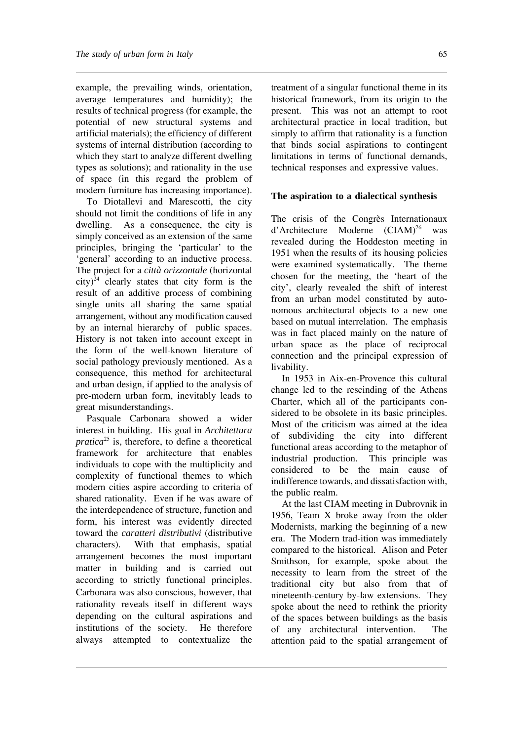example, the prevailing winds, orientation, average temperatures and humidity); the results of technical progress (for example, the potential of new structural systems and artificial materials); the efficiency of different systems of internal distribution (according to which they start to analyze different dwelling types as solutions); and rationality in the use of space (in this regard the problem of modern furniture has increasing importance).

To Diotallevi and Marescotti, the city should not limit the conditions of life in any dwelling. As a consequence, the city is simply conceived as an extension of the same principles, bringing the 'particular' to the 'general' according to an inductive process. The project for a *città orizzontale* (horizontal  $city)^{24}$  clearly states that city form is the result of an additive process of combining single units all sharing the same spatial arrangement, without any modification caused by an internal hierarchy of public spaces. History is not taken into account except in the form of the well-known literature of social pathology previously mentioned. As a consequence, this method for architectural and urban design, if applied to the analysis of pre-modern urban form, inevitably leads to great misunderstandings.

Pasquale Carbonara showed a wider interest in building. His goal in *Architettura pratica*<sup>25</sup> is, therefore, to define a theoretical framework for architecture that enables individuals to cope with the multiplicity and complexity of functional themes to which modern cities aspire according to criteria of shared rationality. Even if he was aware of the interdependence of structure, function and form, his interest was evidently directed toward the *caratteri distributivi* (distributive characters). With that emphasis, spatial arrangement becomes the most important matter in building and is carried out according to strictly functional principles. Carbonara was also conscious, however, that rationality reveals itself in different ways depending on the cultural aspirations and institutions of the society. He therefore always attempted to contextualize the

treatment of a singular functional theme in its historical framework, from its origin to the present. This was not an attempt to root architectural practice in local tradition, but simply to affirm that rationality is a function that binds social aspirations to contingent limitations in terms of functional demands, technical responses and expressive values.

## **The aspiration to a dialectical synthesis**

The crisis of the Congrès Internationaux d'Architecture Moderne  $(CIAM)^{26}$  was revealed during the Hoddeston meeting in 1951 when the results of its housing policies were examined systematically. The theme chosen for the meeting, the 'heart of the city', clearly revealed the shift of interest from an urban model constituted by autonomous architectural objects to a new one based on mutual interrelation. The emphasis was in fact placed mainly on the nature of urban space as the place of reciprocal connection and the principal expression of livability.

In 1953 in Aix-en-Provence this cultural change led to the rescinding of the Athens Charter, which all of the participants considered to be obsolete in its basic principles. Most of the criticism was aimed at the idea of subdividing the city into different functional areas according to the metaphor of industrial production. This principle was considered to be the main cause of indifference towards, and dissatisfaction with, the public realm.

At the last CIAM meeting in Dubrovnik in 1956, Team X broke away from the older Modernists, marking the beginning of a new era. The Modern trad-ition was immediately compared to the historical. Alison and Peter Smithson, for example, spoke about the necessity to learn from the street of the traditional city but also from that of nineteenth-century by-law extensions. They spoke about the need to rethink the priority of the spaces between buildings as the basis of any architectural intervention. The attention paid to the spatial arrangement of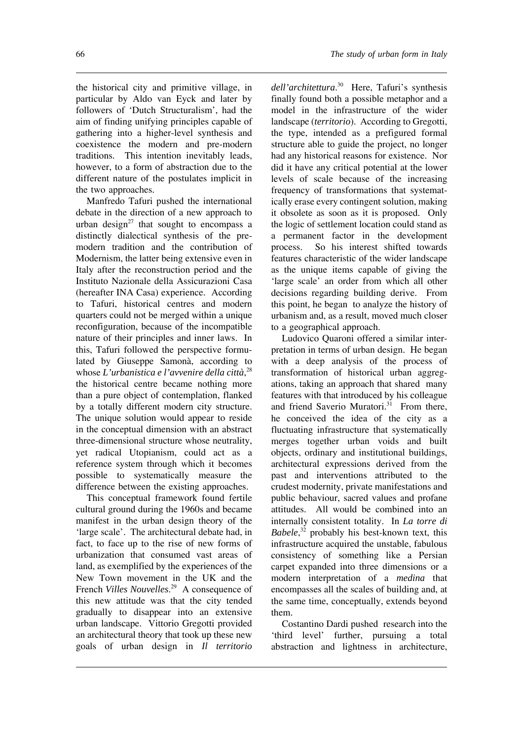the historical city and primitive village, in particular by Aldo van Eyck and later by followers of 'Dutch Structuralism', had the aim of finding unifying principles capable of gathering into a higher-level synthesis and coexistence the modern and pre-modern traditions. This intention inevitably leads, however, to a form of abstraction due to the different nature of the postulates implicit in the two approaches.

Manfredo Tafuri pushed the international debate in the direction of a new approach to urban design $27$  that sought to encompass a distinctly dialectical synthesis of the premodern tradition and the contribution of Modernism, the latter being extensive even in Italy after the reconstruction period and the Instituto Nazionale della Assicurazioni Casa (hereafter INA Casa) experience. According to Tafuri, historical centres and modern quarters could not be merged within a unique reconfiguration, because of the incompatible nature of their principles and inner laws. In this, Tafuri followed the perspective formulated by Giuseppe Samonà, according to whose *L'urbanistica e l'avvenire della città*, 28 the historical centre became nothing more than a pure object of contemplation, flanked by a totally different modern city structure. The unique solution would appear to reside in the conceptual dimension with an abstract three-dimensional structure whose neutrality, yet radical Utopianism, could act as a reference system through which it becomes possible to systematically measure the difference between the existing approaches.

This conceptual framework found fertile cultural ground during the 1960s and became manifest in the urban design theory of the 'large scale'. The architectural debate had, in fact, to face up to the rise of new forms of urbanization that consumed vast areas of land, as exemplified by the experiences of the New Town movement in the UK and the French *Villes Nouvelles*. <sup>29</sup> A consequence of this new attitude was that the city tended gradually to disappear into an extensive urban landscape. Vittorio Gregotti provided an architectural theory that took up these new goals of urban design in *Il territorio*

*dell'architettura*. <sup>30</sup> Here, Tafuri's synthesis finally found both a possible metaphor and a model in the infrastructure of the wider landscape (*territorio*). According to Gregotti, the type, intended as a prefigured formal structure able to guide the project, no longer had any historical reasons for existence. Nor did it have any critical potential at the lower levels of scale because of the increasing frequency of transformations that systematically erase every contingent solution, making it obsolete as soon as it is proposed. Only the logic of settlement location could stand as a permanent factor in the development process. So his interest shifted towards features characteristic of the wider landscape as the unique items capable of giving the 'large scale' an order from which all other decisions regarding building derive. From this point, he began to analyze the history of urbanism and, as a result, moved much closer to a geographical approach.

Ludovico Quaroni offered a similar interpretation in terms of urban design. He began with a deep analysis of the process of transformation of historical urban aggregations, taking an approach that shared many features with that introduced by his colleague and friend Saverio Muratori.<sup>31</sup> From there, he conceived the idea of the city as a fluctuating infrastructure that systematically merges together urban voids and built objects, ordinary and institutional buildings, architectural expressions derived from the past and interventions attributed to the crudest modernity, private manifestations and public behaviour, sacred values and profane attitudes. All would be combined into an internally consistent totality. In *La torre di Babele*, <sup>32</sup> probably his best-known text, this infrastructure acquired the unstable, fabulous consistency of something like a Persian carpet expanded into three dimensions or a modern interpretation of a *medina* that encompasses all the scales of building and, at the same time, conceptually, extends beyond them.

Costantino Dardi pushed research into the 'third level' further, pursuing a total abstraction and lightness in architecture,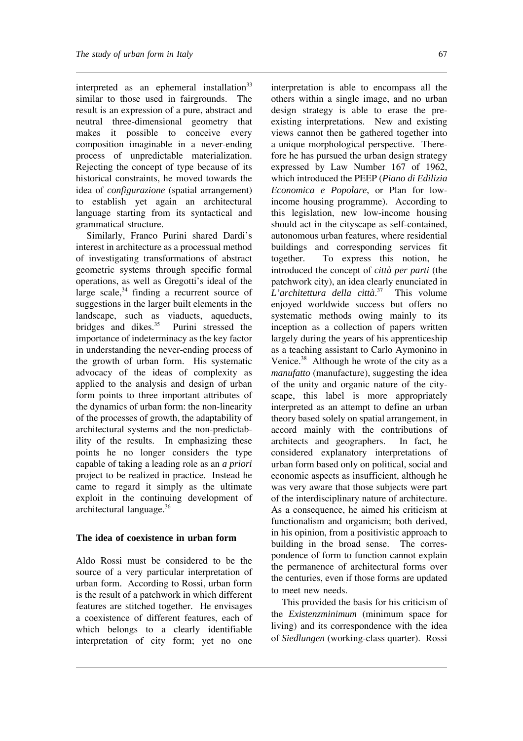interpreted as an ephemeral installation $33$ similar to those used in fairgrounds. The result is an expression of a pure, abstract and neutral three-dimensional geometry that makes it possible to conceive every composition imaginable in a never-ending process of unpredictable materialization. Rejecting the concept of type because of its historical constraints, he moved towards the idea of *configurazione* (spatial arrangement) to establish yet again an architectural language starting from its syntactical and grammatical structure.

Similarly, Franco Purini shared Dardi's interest in architecture as a processual method of investigating transformations of abstract geometric systems through specific formal operations, as well as Gregotti's ideal of the large scale, $34$  finding a recurrent source of suggestions in the larger built elements in the landscape, such as viaducts, aqueducts, bridges and dikes.<sup>35</sup> Purini stressed the importance of indeterminacy as the key factor in understanding the never-ending process of the growth of urban form. His systematic advocacy of the ideas of complexity as applied to the analysis and design of urban form points to three important attributes of the dynamics of urban form: the non-linearity of the processes of growth, the adaptability of architectural systems and the non-predictability of the results. In emphasizing these points he no longer considers the type capable of taking a leading role as an *a priori* project to be realized in practice. Instead he came to regard it simply as the ultimate exploit in the continuing development of architectural language.36

## **The idea of coexistence in urban form**

Aldo Rossi must be considered to be the source of a very particular interpretation of urban form. According to Rossi, urban form is the result of a patchwork in which different features are stitched together. He envisages a coexistence of different features, each of which belongs to a clearly identifiable interpretation of city form; yet no one

interpretation is able to encompass all the others within a single image, and no urban design strategy is able to erase the preexisting interpretations. New and existing views cannot then be gathered together into a unique morphological perspective. Therefore he has pursued the urban design strategy expressed by Law Number 167 of 1962, which introduced the PEEP (*Piano di Edilizia Economica e Popolare*, or Plan for lowincome housing programme). According to this legislation, new low-income housing should act in the cityscape as self-contained, autonomous urban features, where residential buildings and corresponding services fit together. To express this notion, he introduced the concept of *città per parti* (the patchwork city), an idea clearly enunciated in *L'architettura della città*. <sup>37</sup> This volume enjoyed worldwide success but offers no systematic methods owing mainly to its inception as a collection of papers written largely during the years of his apprenticeship as a teaching assistant to Carlo Aymonino in Venice.38 Although he wrote of the city as a *manufatto* (manufacture), suggesting the idea of the unity and organic nature of the cityscape, this label is more appropriately interpreted as an attempt to define an urban theory based solely on spatial arrangement, in accord mainly with the contributions of architects and geographers. In fact, he considered explanatory interpretations of urban form based only on political, social and economic aspects as insufficient, although he was very aware that those subjects were part of the interdisciplinary nature of architecture. As a consequence, he aimed his criticism at functionalism and organicism; both derived, in his opinion, from a positivistic approach to building in the broad sense. The correspondence of form to function cannot explain the permanence of architectural forms over the centuries, even if those forms are updated to meet new needs.

This provided the basis for his criticism of the *Existenzminimum* (minimum space for living) and its correspondence with the idea of *Siedlungen* (working-class quarter). Rossi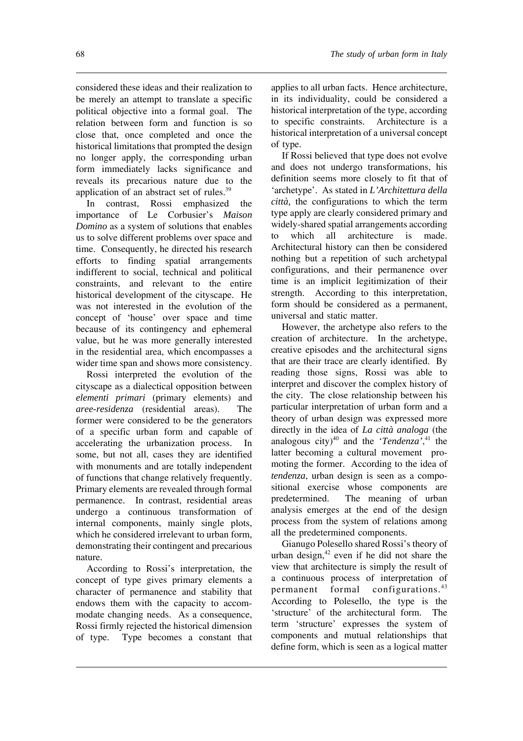considered these ideas and their realization to be merely an attempt to translate a specific political objective into a formal goal. The relation between form and function is so close that, once completed and once the historical limitations that prompted the design no longer apply, the corresponding urban form immediately lacks significance and reveals its precarious nature due to the application of an abstract set of rules.<sup>39</sup>

In contrast, Rossi emphasized the importance of Le Corbusier's *Maison Domino* as a system of solutions that enables us to solve different problems over space and time. Consequently, he directed his research efforts to finding spatial arrangements indifferent to social, technical and political constraints, and relevant to the entire historical development of the cityscape. He was not interested in the evolution of the concept of 'house' over space and time because of its contingency and ephemeral value, but he was more generally interested in the residential area, which encompasses a wider time span and shows more consistency.

Rossi interpreted the evolution of the cityscape as a dialectical opposition between *elementi primari* (primary elements) and *aree-residenza* (residential areas). The former were considered to be the generators of a specific urban form and capable of accelerating the urbanization process. In some, but not all, cases they are identified with monuments and are totally independent of functions that change relatively frequently. Primary elements are revealed through formal permanence. In contrast, residential areas undergo a continuous transformation of internal components, mainly single plots, which he considered irrelevant to urban form, demonstrating their contingent and precarious nature.

According to Rossi's interpretation, the concept of type gives primary elements a character of permanence and stability that endows them with the capacity to accommodate changing needs. As a consequence, Rossi firmly rejected the historical dimension of type. Type becomes a constant that

applies to all urban facts. Hence architecture, in its individuality, could be considered a historical interpretation of the type, according to specific constraints. Architecture is a historical interpretation of a universal concept of type.

If Rossi believed that type does not evolve and does not undergo transformations, his definition seems more closely to fit that of 'archetype'. As stated in *L'Architettura della città,* the configurations to which the term type apply are clearly considered primary and widely-shared spatial arrangements according to which all architecture is made. Architectural history can then be considered nothing but a repetition of such archetypal configurations, and their permanence over time is an implicit legitimization of their strength. According to this interpretation, form should be considered as a permanent, universal and static matter.

However, the archetype also refers to the creation of architecture. In the archetype, creative episodes and the architectural signs that are their trace are clearly identified. By reading those signs, Rossi was able to interpret and discover the complex history of the city. The close relationship between his particular interpretation of urban form and a theory of urban design was expressed more directly in the idea of *La città analoga* (the analogous city)<sup>40</sup> and the '*Tendenza*',<sup>41</sup> the latter becoming a cultural movement promoting the former. According to the idea of *tendenza*, urban design is seen as a compositional exercise whose components are predetermined. The meaning of urban analysis emerges at the end of the design process from the system of relations among all the predetermined components.

Gianugo Polesello shared Rossi's theory of urban design, $42$  even if he did not share the view that architecture is simply the result of a continuous process of interpretation of permanent formal configurations.43 According to Polesello, the type is the 'structure' of the architectural form. The term 'structure' expresses the system of components and mutual relationships that define form, which is seen as a logical matter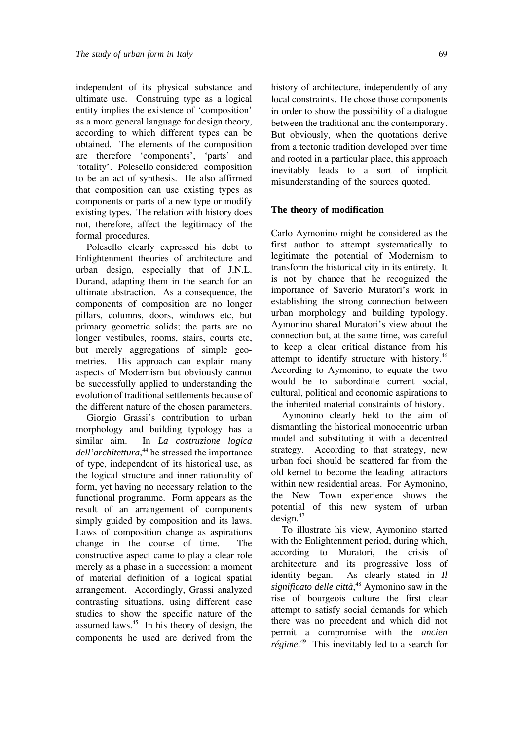independent of its physical substance and ultimate use. Construing type as a logical entity implies the existence of 'composition' as a more general language for design theory, according to which different types can be obtained. The elements of the composition are therefore 'components', 'parts' and 'totality'. Polesello considered composition to be an act of synthesis. He also affirmed that composition can use existing types as components or parts of a new type or modify existing types. The relation with history does not, therefore, affect the legitimacy of the formal procedures.

Polesello clearly expressed his debt to Enlightenment theories of architecture and urban design, especially that of J.N.L. Durand, adapting them in the search for an ultimate abstraction. As a consequence, the components of composition are no longer pillars, columns, doors, windows etc, but primary geometric solids; the parts are no longer vestibules, rooms, stairs, courts etc, but merely aggregations of simple geometries. His approach can explain many aspects of Modernism but obviously cannot be successfully applied to understanding the evolution of traditional settlements because of the different nature of the chosen parameters.

Giorgio Grassi's contribution to urban morphology and building typology has a similar aim. In *La costruzione logica dell'architettura*, <sup>44</sup> he stressed the importance of type, independent of its historical use, as the logical structure and inner rationality of form, yet having no necessary relation to the functional programme. Form appears as the result of an arrangement of components simply guided by composition and its laws. Laws of composition change as aspirations change in the course of time. The constructive aspect came to play a clear role merely as a phase in a succession: a moment of material definition of a logical spatial arrangement. Accordingly, Grassi analyzed contrasting situations, using different case studies to show the specific nature of the assumed laws.45 In his theory of design, the components he used are derived from the

history of architecture, independently of any local constraints. He chose those components in order to show the possibility of a dialogue between the traditional and the contemporary. But obviously, when the quotations derive from a tectonic tradition developed over time and rooted in a particular place, this approach inevitably leads to a sort of implicit misunderstanding of the sources quoted.

## **The theory of modification**

Carlo Aymonino might be considered as the first author to attempt systematically to legitimate the potential of Modernism to transform the historical city in its entirety. It is not by chance that he recognized the importance of Saverio Muratori's work in establishing the strong connection between urban morphology and building typology. Aymonino shared Muratori's view about the connection but, at the same time, was careful to keep a clear critical distance from his attempt to identify structure with history.46 According to Aymonino, to equate the two would be to subordinate current social, cultural, political and economic aspirations to the inherited material constraints of history.

Aymonino clearly held to the aim of dismantling the historical monocentric urban model and substituting it with a decentred strategy. According to that strategy, new urban foci should be scattered far from the old kernel to become the leading attractors within new residential areas. For Aymonino, the New Town experience shows the potential of this new system of urban design.47

To illustrate his view, Aymonino started with the Enlightenment period, during which, according to Muratori, the crisis of architecture and its progressive loss of identity began. As clearly stated in *Il significato delle città*, <sup>48</sup> Aymonino saw in the rise of bourgeois culture the first clear attempt to satisfy social demands for which there was no precedent and which did not permit a compromise with the *ancien régime*. <sup>49</sup> This inevitably led to a search for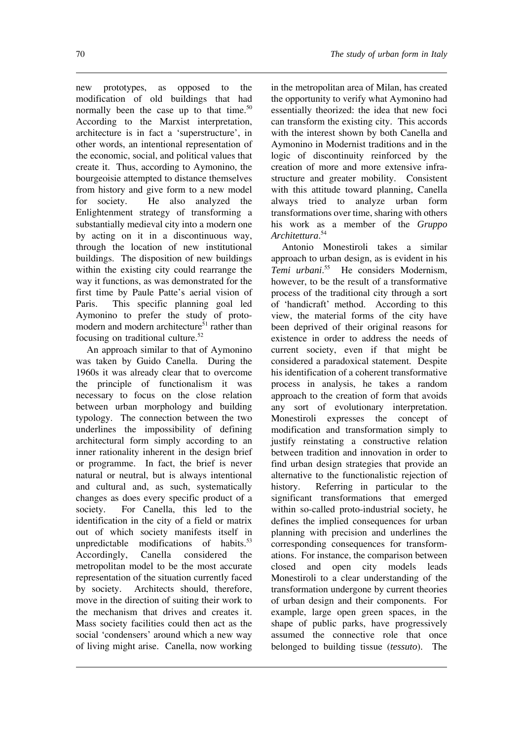new prototypes, as opposed to the modification of old buildings that had normally been the case up to that time.<sup>50</sup> According to the Marxist interpretation, architecture is in fact a 'superstructure', in other words, an intentional representation of the economic, social, and political values that create it. Thus, according to Aymonino, the bourgeoisie attempted to distance themselves from history and give form to a new model for society. He also analyzed the Enlightenment strategy of transforming a substantially medieval city into a modern one by acting on it in a discontinuous way, through the location of new institutional buildings. The disposition of new buildings within the existing city could rearrange the way it functions, as was demonstrated for the first time by Paule Patte's aerial vision of Paris. This specific planning goal led Aymonino to prefer the study of protomodern and modern architecture<sup>51</sup> rather than focusing on traditional culture. $52$ 

An approach similar to that of Aymonino was taken by Guido Canella. During the 1960s it was already clear that to overcome the principle of functionalism it was necessary to focus on the close relation between urban morphology and building typology. The connection between the two underlines the impossibility of defining architectural form simply according to an inner rationality inherent in the design brief or programme. In fact, the brief is never natural or neutral, but is always intentional and cultural and, as such, systematically changes as does every specific product of a society. For Canella, this led to the identification in the city of a field or matrix out of which society manifests itself in unpredictable modifications of habits. $53$ Accordingly, Canella considered the metropolitan model to be the most accurate representation of the situation currently faced by society. Architects should, therefore, move in the direction of suiting their work to the mechanism that drives and creates it. Mass society facilities could then act as the social 'condensers' around which a new way of living might arise. Canella, now working

in the metropolitan area of Milan, has created the opportunity to verify what Aymonino had essentially theorized: the idea that new foci can transform the existing city. This accords with the interest shown by both Canella and Aymonino in Modernist traditions and in the logic of discontinuity reinforced by the creation of more and more extensive infrastructure and greater mobility. Consistent with this attitude toward planning, Canella always tried to analyze urban form transformations over time, sharing with others his work as a member of the *Gruppo Architettura*. 54

Antonio Monestiroli takes a similar approach to urban design, as is evident in his *Temi urbani*. <sup>55</sup> He considers Modernism, however, to be the result of a transformative process of the traditional city through a sort of 'handicraft' method. According to this view, the material forms of the city have been deprived of their original reasons for existence in order to address the needs of current society, even if that might be considered a paradoxical statement. Despite his identification of a coherent transformative process in analysis, he takes a random approach to the creation of form that avoids any sort of evolutionary interpretation. Monestiroli expresses the concept of modification and transformation simply to justify reinstating a constructive relation between tradition and innovation in order to find urban design strategies that provide an alternative to the functionalistic rejection of history. Referring in particular to the significant transformations that emerged within so-called proto-industrial society, he defines the implied consequences for urban planning with precision and underlines the corresponding consequences for transformations. For instance, the comparison between closed and open city models leads Monestiroli to a clear understanding of the transformation undergone by current theories of urban design and their components. For example, large open green spaces, in the shape of public parks, have progressively assumed the connective role that once belonged to building tissue (*tessuto*). The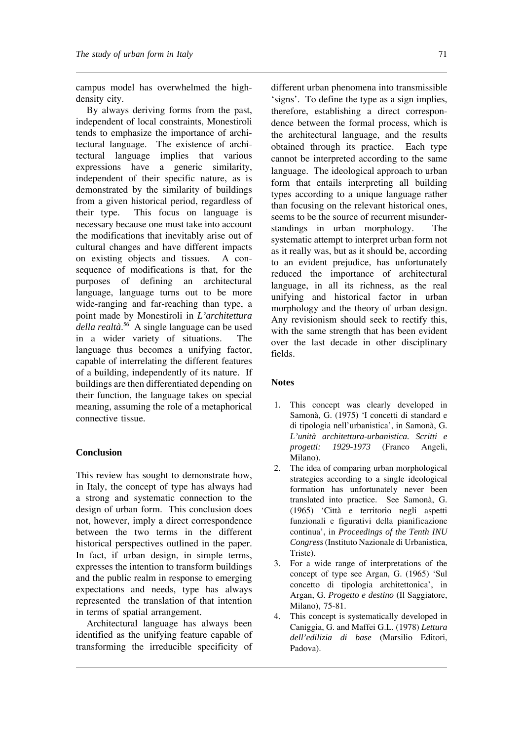campus model has overwhelmed the highdensity city.

By always deriving forms from the past, independent of local constraints, Monestiroli tends to emphasize the importance of architectural language. The existence of architectural language implies that various expressions have a generic similarity, independent of their specific nature, as is demonstrated by the similarity of buildings from a given historical period, regardless of their type. This focus on language is necessary because one must take into account the modifications that inevitably arise out of cultural changes and have different impacts on existing objects and tissues. A consequence of modifications is that, for the purposes of defining an architectural language, language turns out to be more wide-ranging and far-reaching than type, a point made by Monestiroli in *L'architettura della realtà*. <sup>56</sup> A single language can be used in a wider variety of situations. The language thus becomes a unifying factor, capable of interrelating the different features of a building, independently of its nature. If buildings are then differentiated depending on their function, the language takes on special meaning, assuming the role of a metaphorical connective tissue.

#### **Conclusion**

This review has sought to demonstrate how, in Italy, the concept of type has always had a strong and systematic connection to the design of urban form. This conclusion does not, however, imply a direct correspondence between the two terms in the different historical perspectives outlined in the paper. In fact, if urban design, in simple terms, expresses the intention to transform buildings and the public realm in response to emerging expectations and needs, type has always represented the translation of that intention in terms of spatial arrangement.

Architectural language has always been identified as the unifying feature capable of transforming the irreducible specificity of

different urban phenomena into transmissible 'signs'. To define the type as a sign implies, therefore, establishing a direct correspondence between the formal process, which is the architectural language, and the results obtained through its practice. Each type cannot be interpreted according to the same language. The ideological approach to urban form that entails interpreting all building types according to a unique language rather than focusing on the relevant historical ones, seems to be the source of recurrent misunderstandings in urban morphology. The systematic attempt to interpret urban form not as it really was, but as it should be, according to an evident prejudice, has unfortunately reduced the importance of architectural language, in all its richness, as the real unifying and historical factor in urban morphology and the theory of urban design. Any revisionism should seek to rectify this, with the same strength that has been evident over the last decade in other disciplinary fields.

#### **Notes**

- 1. This concept was clearly developed in Samonà, G. (1975) 'I concetti di standard e di tipologia nell'urbanistica', in Samonà, G. *L'unità architettura-urbanistica. Scritti e progetti: 1929-1973* (Franco Angeli, Milano).
- 2. The idea of comparing urban morphological strategies according to a single ideological formation has unfortunately never been translated into practice. See Samonà, G. (1965) 'Città e territorio negli aspetti funzionali e figurativi della pianificazione continua', in *Proceedings of the Tenth INU Congress*(Instituto Nazionale di Urbanistica, Triste).
- 3. For a wide range of interpretations of the concept of type see Argan, G. (1965) 'Sul concetto di tipologia architettonica', in Argan, G. *Progetto e destino* (Il Saggiatore, Milano), 75-81.
- 4. This concept is systematically developed in Caniggia, G. and Maffei G.L. (1978) *Lettura dell'edilizia di base* (Marsilio Editori, Padova).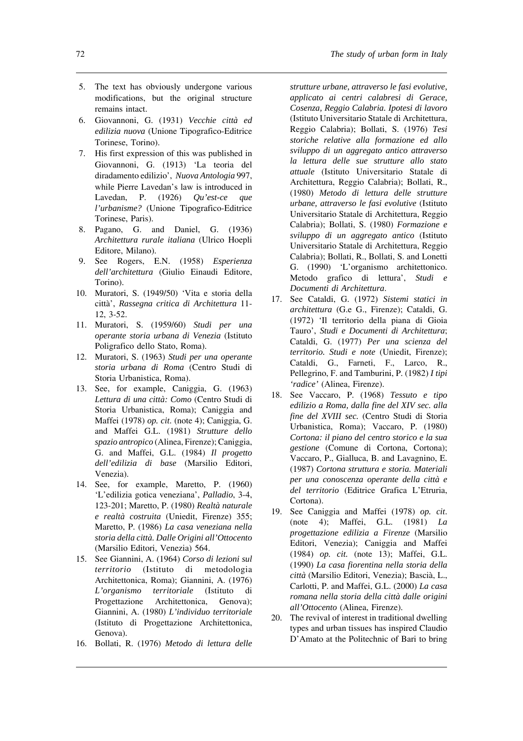- 5. The text has obviously undergone various modifications, but the original structure remains intact.
- 6. Giovannoni, G. (1931) *Vecchie città ed edilizia nuova* (Unione Tipografico-Editrice Torinese, Torino).
- 7. His first expression of this was published in Giovannoni, G. (1913) 'La teoria del diradamento edilizio', *Nuova Antologia* 997, while Pierre Lavedan's law is introduced in Lavedan, P. (1926) *Qu'est-ce que l'urbanisme?* (Unione Tipografico-Editrice Torinese, Paris).
- 8. Pagano, G. and Daniel, G. (1936) *Architettura rurale italiana* (Ulrico Hoepli Editore, Milano).
- 9. See Rogers, E.N. (1958) *Esperienza dell'architettura* (Giulio Einaudi Editore, Torino).
- 10. Muratori, S. (1949/50) 'Vita e storia della città', *Rassegna critica di Architettura* 11- 12, 3-52.
- 11. Muratori, S. (1959/60) *Studi per una operante storia urbana di Venezia* (Istituto Poligrafico dello Stato, Roma).
- 12. Muratori, S. (1963) *Studi per una operante storia urbana di Roma* (Centro Studi di Storia Urbanistica, Roma).
- 13. See, for example, Caniggia, G. (1963) *Lettura di una città: Como* (Centro Studi di Storia Urbanistica, Roma); Caniggia and Maffei (1978) *op. cit*. (note 4); Caniggia, G. and Maffei G.L. (1981) *Strutture dello spazio antropico* (Alinea, Firenze); Caniggia, G. and Maffei, G.L. (1984) *Il progetto dell'edilizia di base* (Marsilio Editori, Venezia).
- 14. See, for example, Maretto, P. (1960) 'L'edilizia gotica veneziana', *Palladio*, 3-4, 123-201; Maretto, P. (1980) *Realtà naturale e realtà costruita* (Uniedit, Firenze) 355; Maretto, P. (1986) *La casa veneziana nella storia della città. Dalle Origini all'Ottocento* (Marsilio Editori, Venezia) 564.
- 15. See Giannini, A. (1964) *Corso di lezioni sul territorio* (Istituto di metodologia Architettonica, Roma); Giannini, A. (1976) *L'organismo territoriale* (Istituto di Progettazione Architettonica, Genova); Giannini, A. (1980) *L'individuo territoriale* (Istituto di Progettazione Architettonica, Genova).
- 16. Bollati, R. (1976) *Metodo di lettura delle*

*strutture urbane, attraverso le fasi evolutive, applicato ai centri calabresi di Gerace, Cosenza, Reggio Calabria. Ipotesi di lavoro* (Istituto Universitario Statale di Architettura, Reggio Calabria); Bollati, S. (1976) *Tesi storiche relative alla formazione ed allo sviluppo di un aggregato antico attraverso la lettura delle sue strutture allo stato attuale* (Istituto Universitario Statale di Architettura, Reggio Calabria); Bollati, R., (1980) *Metodo di lettura delle strutture urbane, attraverso le fasi evolutive* (Istituto Universitario Statale di Architettura, Reggio Calabria); Bollati, S. (1980) *Formazione e sviluppo di un aggregato antico* (Istituto Universitario Statale di Architettura, Reggio Calabria); Bollati, R., Bollati, S. and Lonetti G. (1990) 'L'organismo architettonico. Metodo grafico di lettura', *Studi e Documenti di Architettura*.

- 17. See Cataldi, G. (1972) *Sistemi statici in architettura* (G.e G., Firenze); Cataldi, G. (1972) 'Il territorio della piana di Gioia Tauro', *Studi e Documenti di Architettura*; Cataldi, G. (1977) *Per una scienza del territorio. Studi e note* (Uniedit, Firenze); Cataldi, G., Farneti, F., Larco, R., Pellegrino, F. and Tamburini, P. (1982) *I tipi 'radice'* (Alinea, Firenze).
- 18. See Vaccaro, P. (1968) *Tessuto e tipo edilizio a Roma, dalla fine del XIV sec. alla fine del XVIII sec.* (Centro Studi di Storia Urbanistica, Roma); Vaccaro, P. (1980) *Cortona: il piano del centro storico e la sua gestione* (Comune di Cortona, Cortona); Vaccaro, P., Gialluca, B. and Lavagnino, E. (1987) *Cortona struttura e storia. Materiali per una conoscenza operante della città e del territorio* (Editrice Grafica L'Etruria, Cortona).
- 19. See Caniggia and Maffei (1978) *op. cit*. (note 4); Maffei, G.L. (1981) *La progettazione edilizia a Firenze* (Marsilio Editori, Venezia); Caniggia and Maffei (1984) *op. cit.* (note 13); Maffei, G.L. (1990) *La casa fiorentina nella storia della città* (Marsilio Editori, Venezia); Bascià, L., Carlotti, P. and Maffei, G.L. (2000) *La casa romana nella storia della città dalle origini all'Ottocento* (Alinea, Firenze).
- 20. The revival of interest in traditional dwelling types and urban tissues has inspired Claudio D'Amato at the Politechnic of Bari to bring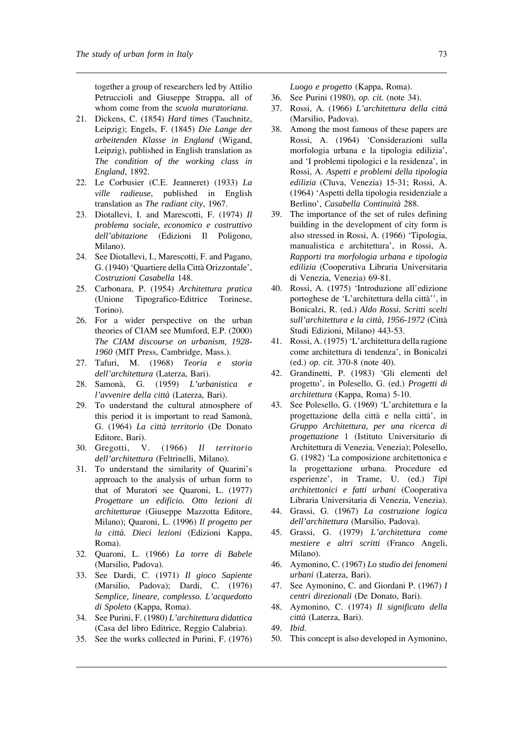together a group of researchers led by Attilio Petruccioli and Giuseppe Strappa, all of whom come from the *scuola muratoriana*.

- 21. Dickens, C. (1854) *Hard times* (Tauchnitz, Leipzig); Engels, F. (1845) *Die Lange der arbeitenden Klasse in England* (Wigand, Leipzig), published in English translation as *The condition of the working class in England*, 1892.
- 22. Le Corbusier (C.E. Jeanneret) (1933) *La ville radieuse*, published in English translation as *The radiant city*, 1967.
- 23. Diotallevi, I. and Marescotti, F. (1974) *Il problema sociale, economico e costruttivo dell'abitazione* (Edizioni Il Poligono, Milano).
- 24. See Diotallevi, I., Marescotti, F. and Pagano, G. (1940) 'Quartiere della Città Orizzontale', *Costruzioni Casabella* 148.
- 25. Carbonara, P. (1954) *Architettura pratica* (Unione Tipografico-Editrice Torinese, Torino).
- 26. For a wider perspective on the urban theories of CIAM see Mumford, E.P. (2000) *The CIAM discourse on urbanism, 1928- 1960* (MIT Press, Cambridge, Mass.).
- 27. Tafuri, M. (1968) *Teoria e storia dell'architettura* (Laterza, Bari).
- 28. Samonà, G. (1959) *L'urbanistica e l'avvenire della città* (Laterza, Bari).
- 29. To understand the cultural atmosphere of this period it is important to read Samonà, G. (1964) *La città territorio* (De Donato Editore, Bari).
- 30. Gregotti, V. (1966) *Il territorio dell'architettura* (Feltrinelli, Milano).
- 31. To understand the similarity of Quarini's approach to the analysis of urban form to that of Muratori see Quaroni, L. (1977) *Progettare un edificio. Otto lezioni di architetturae* (Giuseppe Mazzotta Editore, Milano); Quaroni, L. (1996) *Il progetto per la città. Dieci lezioni* (Edizioni Kappa, Roma).
- 32. Quaroni, L. (1966) *La torre di Babele* (Marsilio, Padova).
- 33. See Dardi, C. (1971) *Il gioco Sapiente* (Marsilio, Padova); Dardi, C. (1976) *Semplice, lineare, complesso. L'acquedotto di Spoleto* (Kappa, Roma).
- 34. See Purini, F. (1980) *L'architettura didattica* (Casa del libro Editrice, Reggio Calabria).
- 35. See the works collected in Purini, F. (1976)

*Luogo e progetto* (Kappa, Roma).

- 36. See Purini (1980), *op. cit.* (note 34).
- 37. Rossi, A. (1966) *L'architettura della città* (Marsilio, Padova).
- 38. Among the most famous of these papers are Rossi, A. (1964) 'Considerazioni sulla morfologia urbana e la tipologia edilizia', and 'I problemi tipologici e la residenza', in Rossi, A. *Aspetti e problemi della tipologia edilizia* (Cluva, Venezia) 15-31; Rossi, A. (1964) 'Aspetti della tipologia residenziale a Berlino', *Casabella Continuità* 288.
- 39. The importance of the set of rules defining building in the development of city form is also stressed in Rossi, A. (1966) 'Tipologia, manualistica e architettura', in Rossi, A. *Rapporti tra morfologia urbana e tipologia edilizia* (Cooperativa Libraria Universitaria di Venezia, Venezia) 69-81.
- 40. Rossi, A. (1975) 'Introduzione all'edizione portoghese de 'L'architettura della città'', in Bonicalzi, R. (ed.) *Aldo Rossi. Scritti scelti sull'architettura e la città, 1956-1972* (Città Studi Edizioni, Milano) 443-53.
- 41. Rossi, A. (1975) 'L'architettura della ragione come architettura di tendenza', in Bonicalzi (ed.) *op. cit.* 370-8 (note 40).
- 42. Grandinetti, P. (1983) 'Gli elementi del progetto', in Polesello, G. (ed.) *Progetti di architettura* (Kappa, Roma) 5-10.
- 43. See Polesello, G. (1969) 'L'architettura e la progettazione della città e nella città', in *Gruppo Architettura, per una ricerca di progettazione* 1 (Istituto Universitario di Architettura di Venezia, Venezia); Polesello, G. (1982) 'La composizione architettonica e la progettazione urbana. Procedure ed esperienze', in Trame, U. (ed.) *Tipi architettonici e fatti urbani* (Cooperativa Libraria Universitaria di Venezia, Venezia).
- 44. Grassi, G. (1967) *La costruzione logica dell'architettura* (Marsilio, Padova).
- 45. Grassi, G. (1979) *L'architettura come mestiere e altri scritti* (Franco Angeli, Milano).
- 46. Aymonino, C. (1967) *Lo studio dei fenomeni urbani* (Laterza, Bari).
- 47. See Aymonino, C. and Giordani P. (1967) *I centri direzionali* (De Donato, Bari).
- 48. Aymonino, C. (1974) *Il significato della città* (Laterza, Bari).
- 49. *Ibid*.
- 50. This concept is also developed in Aymonino,